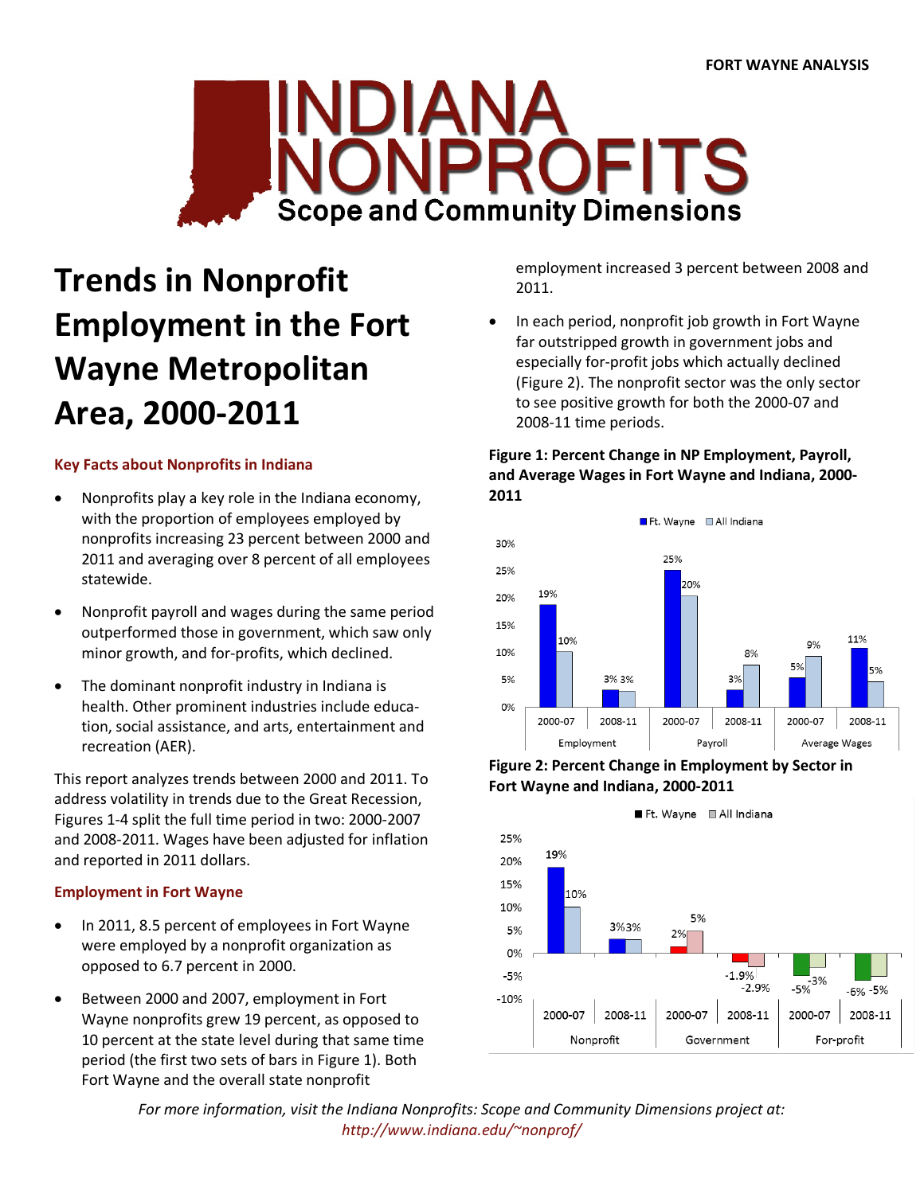

# **Trends in Nonprofit Employment in the Fort Wayne Metropolitan Area, 2000-2011**

## **Key Facts about Nonprofits in Indiana**

- Nonprofits play a key role in the Indiana economy, with the proportion of employees employed by nonprofits increasing 23 percent between 2000 and 2011 and averaging over 8 percent of all employees statewide.
- Nonprofit payroll and wages during the same period outperformed those in government, which saw only minor growth, and for-profits, which declined.
- The dominant nonprofit industry in Indiana is health. Other prominent industries include education, social assistance, and arts, entertainment and recreation (AER).

This report analyzes trends between 2000 and 2011. To address volatility in trends due to the Great Recession, Figures 1-4 split the full time period in two: 2000-2007 and 2008-2011. Wages have been adjusted for inflation and reported in 2011 dollars.

## **Employment in Fort Wayne**

- In 2011, 8.5 percent of employees in Fort Wayne were employed by a nonprofit organization as opposed to 6.7 percent in 2000.
- Between 2000 and 2007, employment in Fort Wayne nonprofits grew 19 percent, as opposed to 10 percent at the state level during that same time period (the first two sets of bars in Figure 1). Both Fort Wayne and the overall state nonprofit

employment increased 3 percent between 2008 and 2011.

• In each period, nonprofit job growth in Fort Wayne far outstripped growth in government jobs and especially for-profit jobs which actually declined (Figure 2). The nonprofit sector was the only sector to see positive growth for both the 2000-07 and 2008-11 time periods.

## **Figure 1: Percent Change in NP Employment, Payroll, and Average Wages in Fort Wayne and Indiana, 2000- 2011**





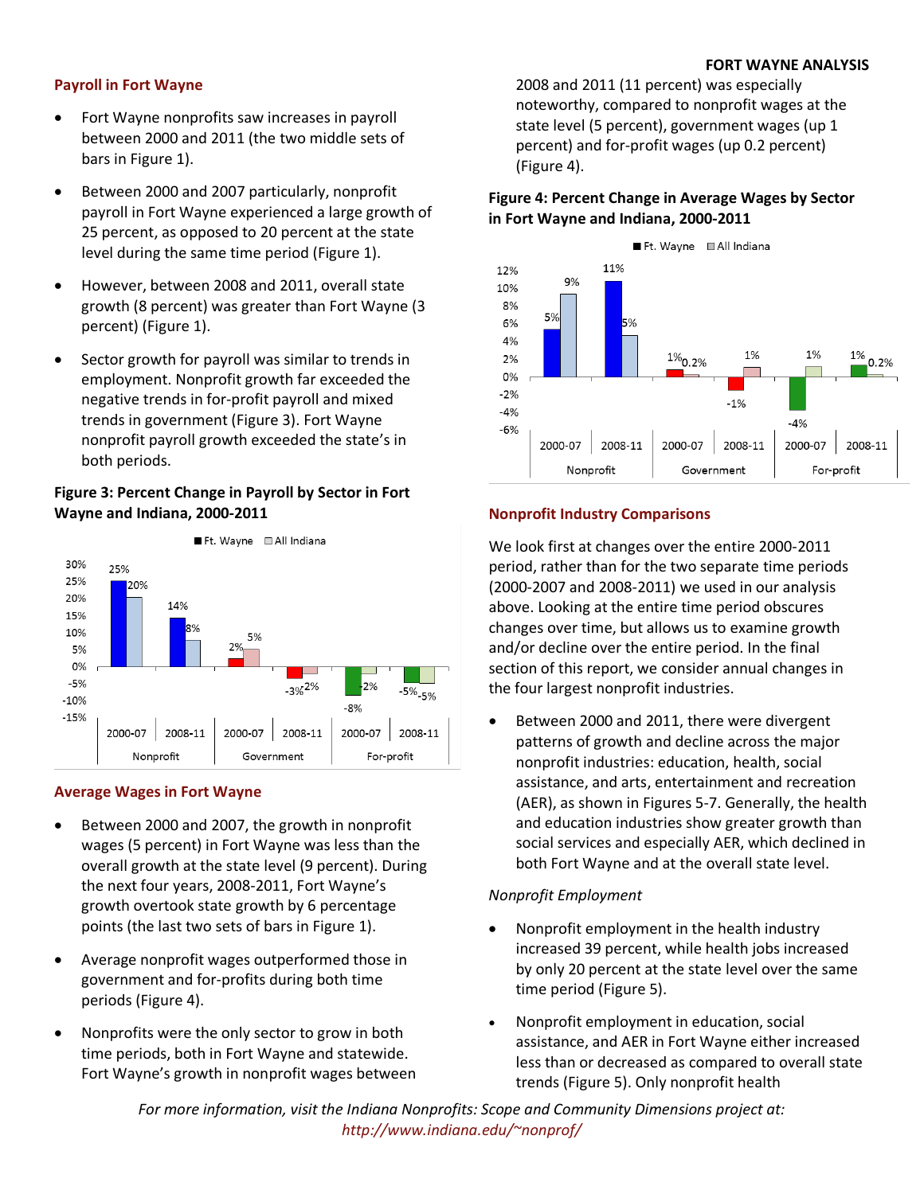## **FORT WAYNE ANALYSIS**

## **Payroll in Fort Wayne**

- Fort Wayne nonprofits saw increases in payroll between 2000 and 2011 (the two middle sets of bars in Figure 1).
- Between 2000 and 2007 particularly, nonprofit payroll in Fort Wayne experienced a large growth of 25 percent, as opposed to 20 percent at the state level during the same time period (Figure 1).
- However, between 2008 and 2011, overall state growth (8 percent) was greater than Fort Wayne (3 percent) (Figure 1).
- Sector growth for payroll was similar to trends in employment. Nonprofit growth far exceeded the negative trends in for-profit payroll and mixed trends in government (Figure 3). Fort Wayne nonprofit payroll growth exceeded the state's in both periods.

## **Figure 3: Percent Change in Payroll by Sector in Fort Wayne and Indiana, 2000-2011**



## **Average Wages in Fort Wayne**

- Between 2000 and 2007, the growth in nonprofit wages (5 percent) in Fort Wayne was less than the overall growth at the state level (9 percent). During the next four years, 2008-2011, Fort Wayne's growth overtook state growth by 6 percentage points (the last two sets of bars in Figure 1).
- Average nonprofit wages outperformed those in government and for-profits during both time periods (Figure 4).
- Nonprofits were the only sector to grow in both time periods, both in Fort Wayne and statewide. Fort Wayne's growth in nonprofit wages between

2008 and 2011 (11 percent) was especially noteworthy, compared to nonprofit wages at the state level (5 percent), government wages (up 1 percent) and for-profit wages (up 0.2 percent) (Figure 4).

## **Figure 4: Percent Change in Average Wages by Sector in Fort Wayne and Indiana, 2000-2011**



## **Nonprofit Industry Comparisons**

We look first at changes over the entire 2000-2011 period, rather than for the two separate time periods (2000-2007 and 2008-2011) we used in our analysis above. Looking at the entire time period obscures changes over time, but allows us to examine growth and/or decline over the entire period. In the final section of this report, we consider annual changes in the four largest nonprofit industries.

Between 2000 and 2011, there were divergent patterns of growth and decline across the major nonprofit industries: education, health, social assistance, and arts, entertainment and recreation (AER), as shown in Figures 5-7. Generally, the health and education industries show greater growth than social services and especially AER, which declined in both Fort Wayne and at the overall state level.

## *Nonprofit Employment*

- Nonprofit employment in the health industry increased 39 percent, while health jobs increased by only 20 percent at the state level over the same time period (Figure 5).
- Nonprofit employment in education, social assistance, and AER in Fort Wayne either increased less than or decreased as compared to overall state trends (Figure 5). Only nonprofit health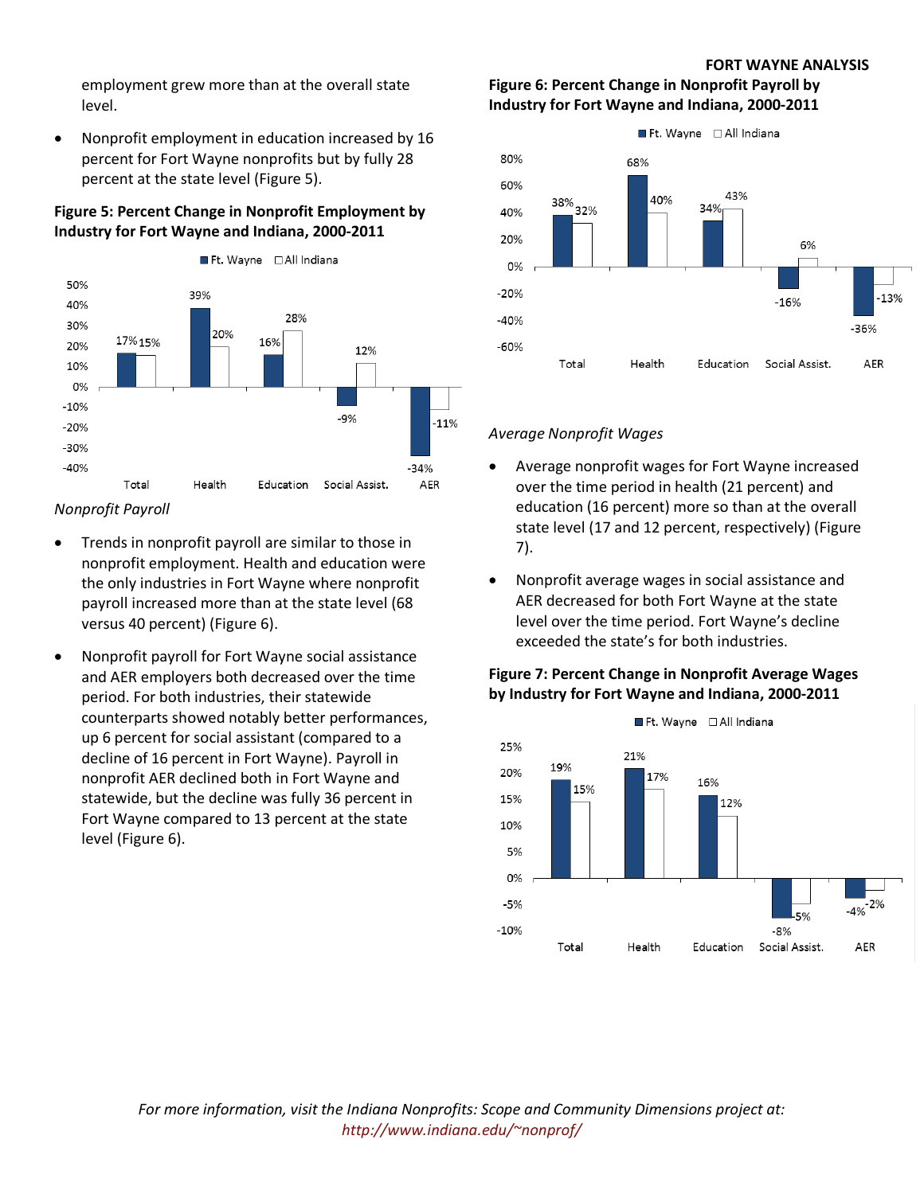#### **FORT WAYNE ANALYSIS**

employment grew more than at the overall state level.

• Nonprofit employment in education increased by 16 percent for Fort Wayne nonprofits but by fully 28 percent at the state level (Figure 5).

## **Figure 5: Percent Change in Nonprofit Employment by Industry for Fort Wayne and Indiana, 2000-2011**



*Nonprofit Payroll*

- Trends in nonprofit payroll are similar to those in nonprofit employment. Health and education were the only industries in Fort Wayne where nonprofit payroll increased more than at the state level (68 versus 40 percent) (Figure 6).
- Nonprofit payroll for Fort Wayne social assistance and AER employers both decreased over the time period. For both industries, their statewide counterparts showed notably better performances, up 6 percent for social assistant (compared to a decline of 16 percent in Fort Wayne). Payroll in nonprofit AER declined both in Fort Wayne and statewide, but the decline was fully 36 percent in Fort Wayne compared to 13 percent at the state level (Figure 6).

## **Figure 6: Percent Change in Nonprofit Payroll by Industry for Fort Wayne and Indiana, 2000-2011**



## *Average Nonprofit Wages*

- Average nonprofit wages for Fort Wayne increased over the time period in health (21 percent) and education (16 percent) more so than at the overall state level (17 and 12 percent, respectively) (Figure 7).
- Nonprofit average wages in social assistance and AER decreased for both Fort Wayne at the state level over the time period. Fort Wayne's decline exceeded the state's for both industries.

## **Figure 7: Percent Change in Nonprofit Average Wages by Industry for Fort Wayne and Indiana, 2000-2011**

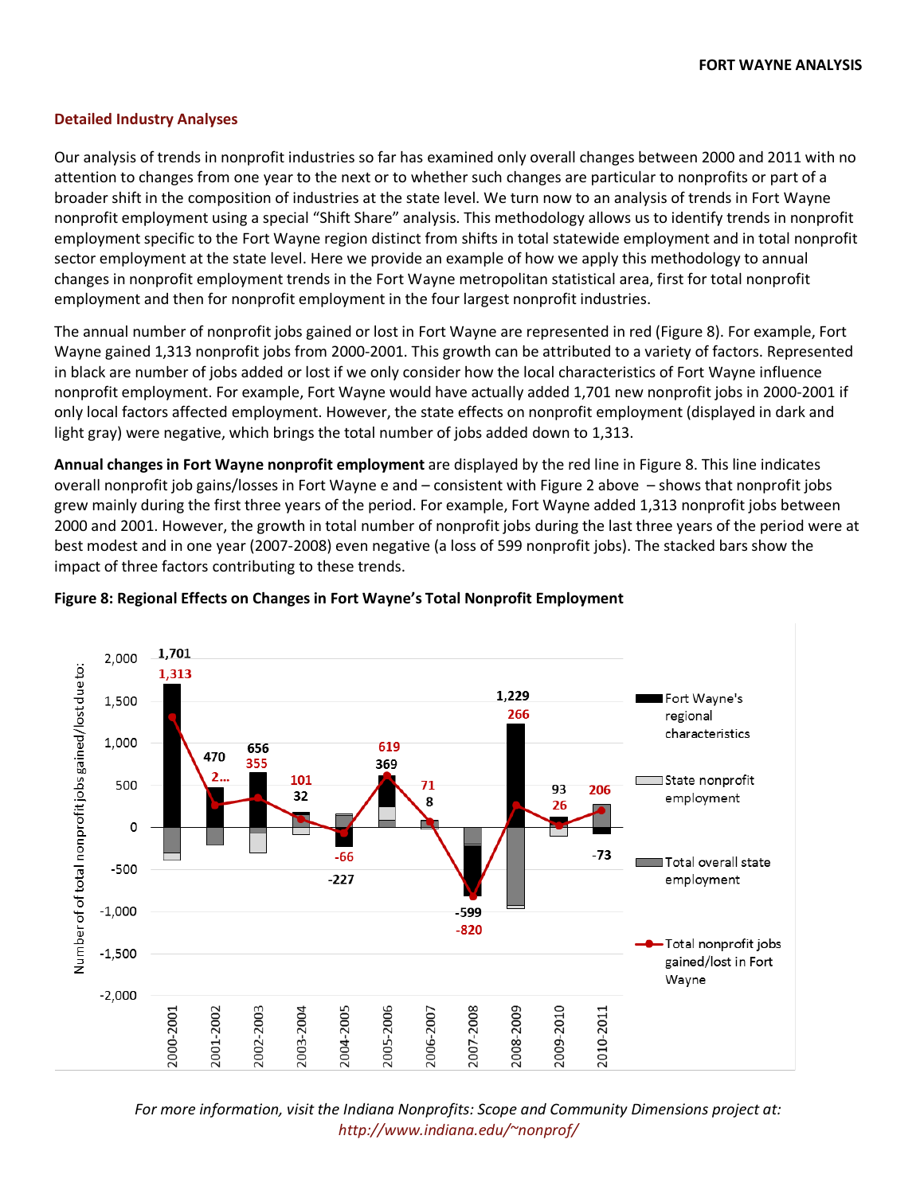## **Detailed Industry Analyses**

Our analysis of trends in nonprofit industries so far has examined only overall changes between 2000 and 2011 with no attention to changes from one year to the next or to whether such changes are particular to nonprofits or part of a broader shift in the composition of industries at the state level. We turn now to an analysis of trends in Fort Wayne nonprofit employment using a special "Shift Share" analysis. This methodology allows us to identify trends in nonprofit employment specific to the Fort Wayne region distinct from shifts in total statewide employment and in total nonprofit sector employment at the state level. Here we provide an example of how we apply this methodology to annual changes in nonprofit employment trends in the Fort Wayne metropolitan statistical area, first for total nonprofit employment and then for nonprofit employment in the four largest nonprofit industries.

The annual number of nonprofit jobs gained or lost in Fort Wayne are represented in red (Figure 8). For example, Fort Wayne gained 1,313 nonprofit jobs from 2000-2001. This growth can be attributed to a variety of factors. Represented in black are number of jobs added or lost if we only consider how the local characteristics of Fort Wayne influence nonprofit employment. For example, Fort Wayne would have actually added 1,701 new nonprofit jobs in 2000-2001 if only local factors affected employment. However, the state effects on nonprofit employment (displayed in dark and light gray) were negative, which brings the total number of jobs added down to 1,313.

**Annual changes in Fort Wayne nonprofit employment** are displayed by the red line in [Figure 8.](#page-3-0) This line indicates overall nonprofit job gains/losses in Fort Wayne e and – consistent with Figure 2 above – shows that nonprofit jobs grew mainly during the first three years of the period. For example, Fort Wayne added 1,313 nonprofit jobs between 2000 and 2001. However, the growth in total number of nonprofit jobs during the last three years of the period were at best modest and in one year (2007-2008) even negative (a loss of 599 nonprofit jobs). The stacked bars show the impact of three factors contributing to these trends.



#### <span id="page-3-0"></span>**Figure 8: Regional Effects on Changes in Fort Wayne's Total Nonprofit Employment**

*For more information, visit the Indiana Nonprofits: Scope and Community Dimensions project at: http://www.indiana.edu/~nonprof/*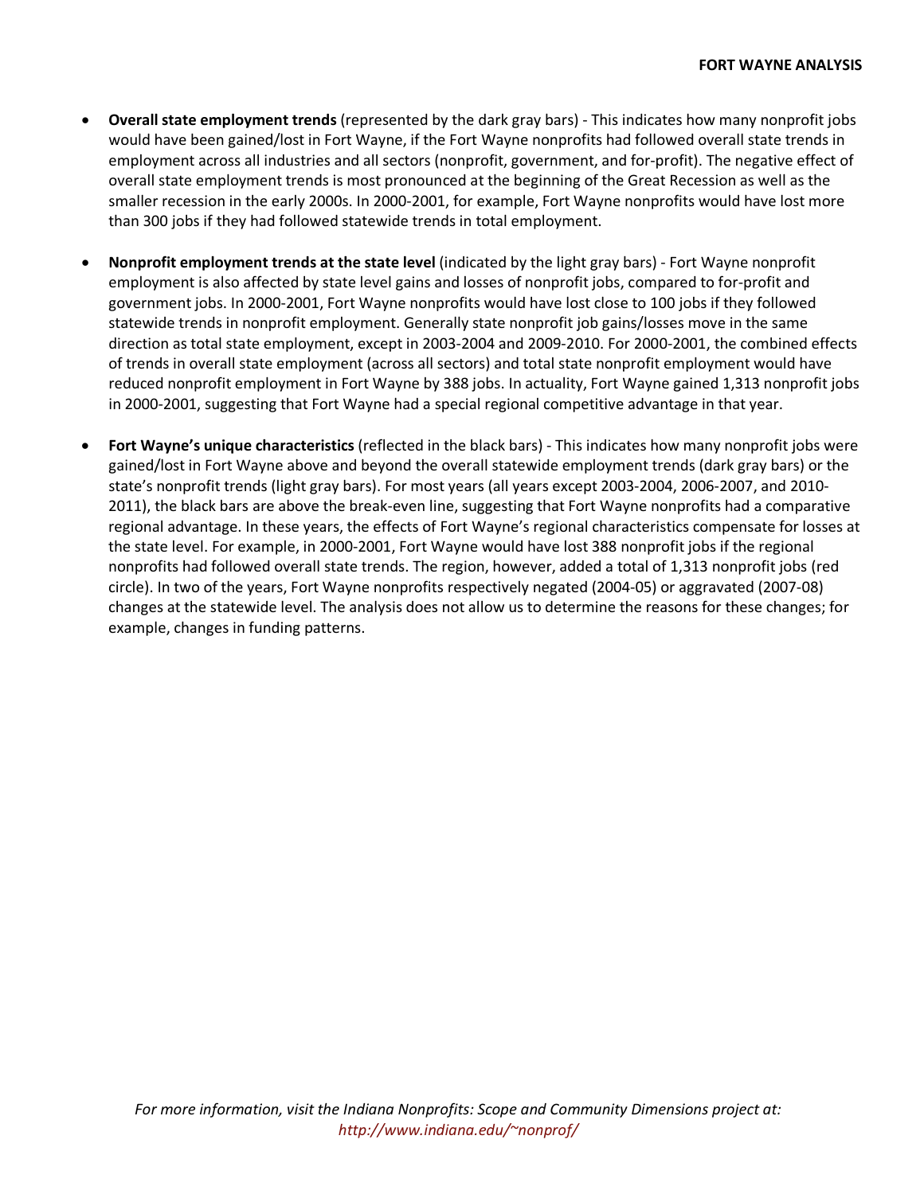- **Overall state employment trends** (represented by the dark gray bars) This indicates how many nonprofit jobs would have been gained/lost in Fort Wayne, if the Fort Wayne nonprofits had followed overall state trends in employment across all industries and all sectors (nonprofit, government, and for-profit). The negative effect of overall state employment trends is most pronounced at the beginning of the Great Recession as well as the smaller recession in the early 2000s. In 2000-2001, for example, Fort Wayne nonprofits would have lost more than 300 jobs if they had followed statewide trends in total employment.
- **Nonprofit employment trends at the state level** (indicated by the light gray bars) Fort Wayne nonprofit employment is also affected by state level gains and losses of nonprofit jobs, compared to for-profit and government jobs. In 2000-2001, Fort Wayne nonprofits would have lost close to 100 jobs if they followed statewide trends in nonprofit employment. Generally state nonprofit job gains/losses move in the same direction as total state employment, except in 2003-2004 and 2009-2010. For 2000-2001, the combined effects of trends in overall state employment (across all sectors) and total state nonprofit employment would have reduced nonprofit employment in Fort Wayne by 388 jobs. In actuality, Fort Wayne gained 1,313 nonprofit jobs in 2000-2001, suggesting that Fort Wayne had a special regional competitive advantage in that year.
- **Fort Wayne's unique characteristics** (reflected in the black bars) This indicates how many nonprofit jobs were gained/lost in Fort Wayne above and beyond the overall statewide employment trends (dark gray bars) or the state's nonprofit trends (light gray bars). For most years (all years except 2003-2004, 2006-2007, and 2010- 2011), the black bars are above the break-even line, suggesting that Fort Wayne nonprofits had a comparative regional advantage. In these years, the effects of Fort Wayne's regional characteristics compensate for losses at the state level. For example, in 2000-2001, Fort Wayne would have lost 388 nonprofit jobs if the regional nonprofits had followed overall state trends. The region, however, added a total of 1,313 nonprofit jobs (red circle). In two of the years, Fort Wayne nonprofits respectively negated (2004-05) or aggravated (2007-08) changes at the statewide level. The analysis does not allow us to determine the reasons for these changes; for example, changes in funding patterns.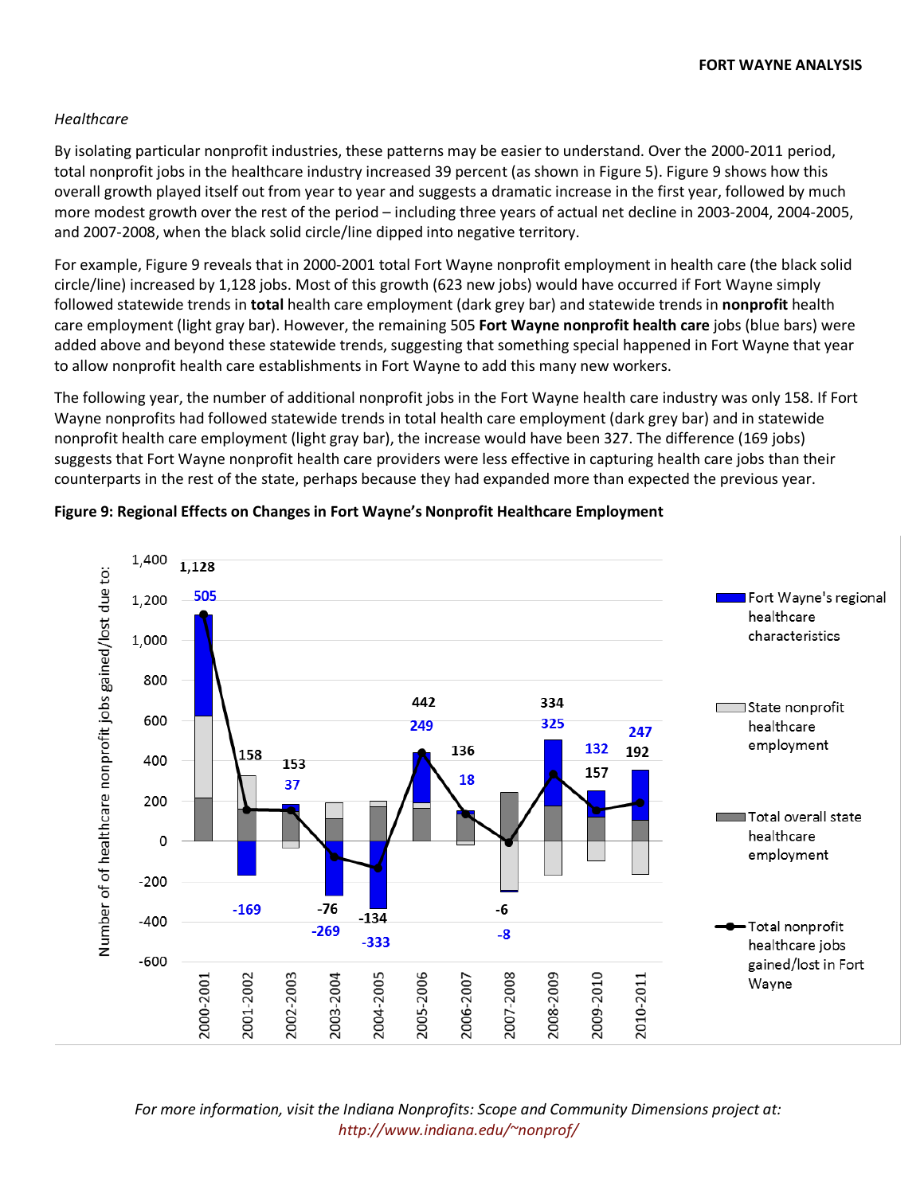## *Healthcare*

By isolating particular nonprofit industries, these patterns may be easier to understand. Over the 2000-2011 period, total nonprofit jobs in the healthcare industry increased 39 percent (as shown in Figure 5). Figure 9 shows how this overall growth played itself out from year to year and suggests a dramatic increase in the first year, followed by much more modest growth over the rest of the period – including three years of actual net decline in 2003-2004, 2004-2005, and 2007-2008, when the black solid circle/line dipped into negative territory.

For example, Figure 9 reveals that in 2000-2001 total Fort Wayne nonprofit employment in health care (the black solid circle/line) increased by 1,128 jobs. Most of this growth (623 new jobs) would have occurred if Fort Wayne simply followed statewide trends in **total** health care employment (dark grey bar) and statewide trends in **nonprofit** health care employment (light gray bar). However, the remaining 505 **Fort Wayne nonprofit health care** jobs (blue bars) were added above and beyond these statewide trends, suggesting that something special happened in Fort Wayne that year to allow nonprofit health care establishments in Fort Wayne to add this many new workers.

The following year, the number of additional nonprofit jobs in the Fort Wayne health care industry was only 158. If Fort Wayne nonprofits had followed statewide trends in total health care employment (dark grey bar) and in statewide nonprofit health care employment (light gray bar), the increase would have been 327. The difference (169 jobs) suggests that Fort Wayne nonprofit health care providers were less effective in capturing health care jobs than their counterparts in the rest of the state, perhaps because they had expanded more than expected the previous year.



#### **Figure 9: Regional Effects on Changes in Fort Wayne's Nonprofit Healthcare Employment**

*For more information, visit the Indiana Nonprofits: Scope and Community Dimensions project at: http://www.indiana.edu/~nonprof/*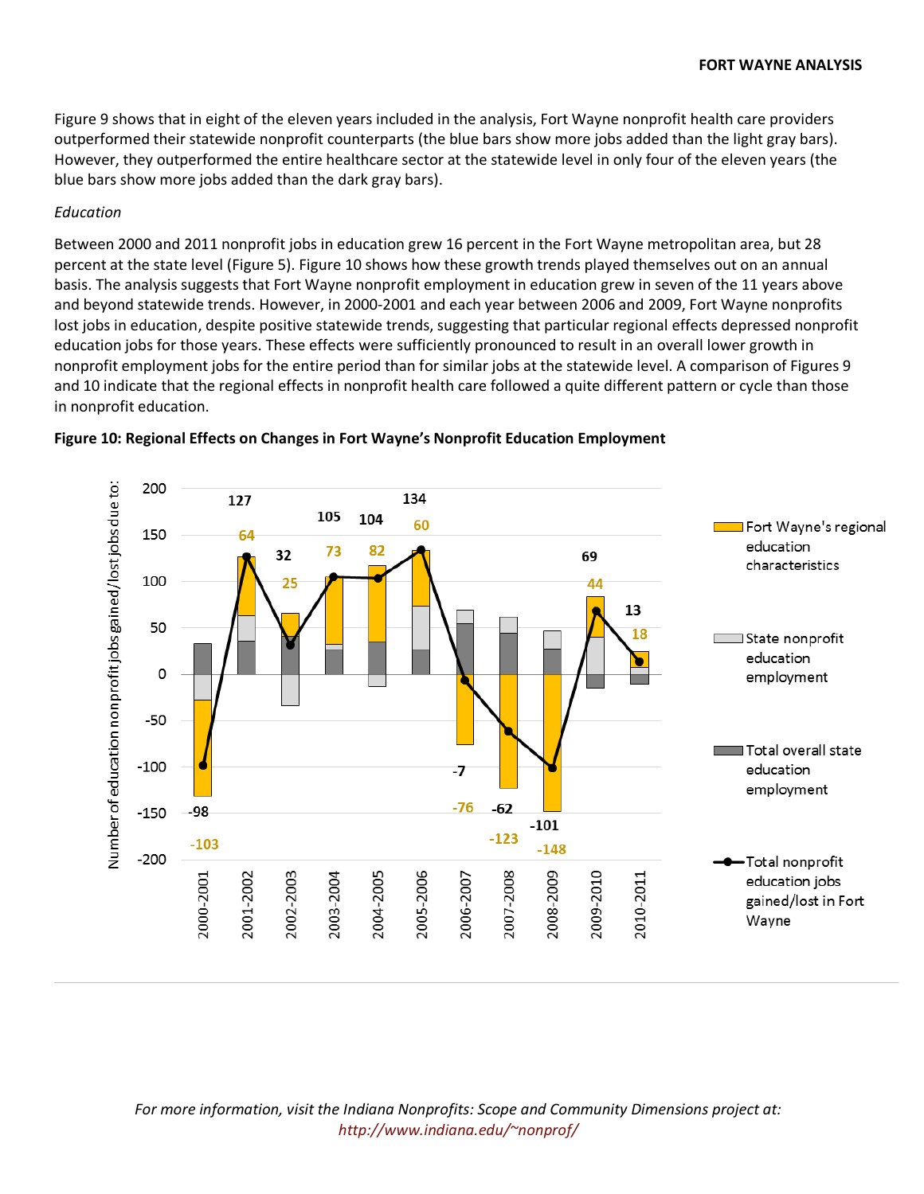Figure 9 shows that in eight of the eleven years included in the analysis, Fort Wayne nonprofit health care providers outperformed their statewide nonprofit counterparts (the blue bars show more jobs added than the light gray bars). However, they outperformed the entire healthcare sector at the statewide level in only four of the eleven years (the blue bars show more jobs added than the dark gray bars).

#### *Education*

Between 2000 and 2011 nonprofit jobs in education grew 16 percent in the Fort Wayne metropolitan area, but 28 percent at the state level (Figure 5). Figure 10 shows how these growth trends played themselves out on an annual basis. The analysis suggests that Fort Wayne nonprofit employment in education grew in seven of the 11 years above and beyond statewide trends. However, in 2000-2001 and each year between 2006 and 2009, Fort Wayne nonprofits lost jobs in education, despite positive statewide trends, suggesting that particular regional effects depressed nonprofit education jobs for those years. These effects were sufficiently pronounced to result in an overall lower growth in nonprofit employment jobs for the entire period than for similar jobs at the statewide level. A comparison of Figures 9 and 10 indicate that the regional effects in nonprofit health care followed a quite different pattern or cycle than those in nonprofit education.



#### **Figure 10: Regional Effects on Changes in Fort Wayne's Nonprofit Education Employment**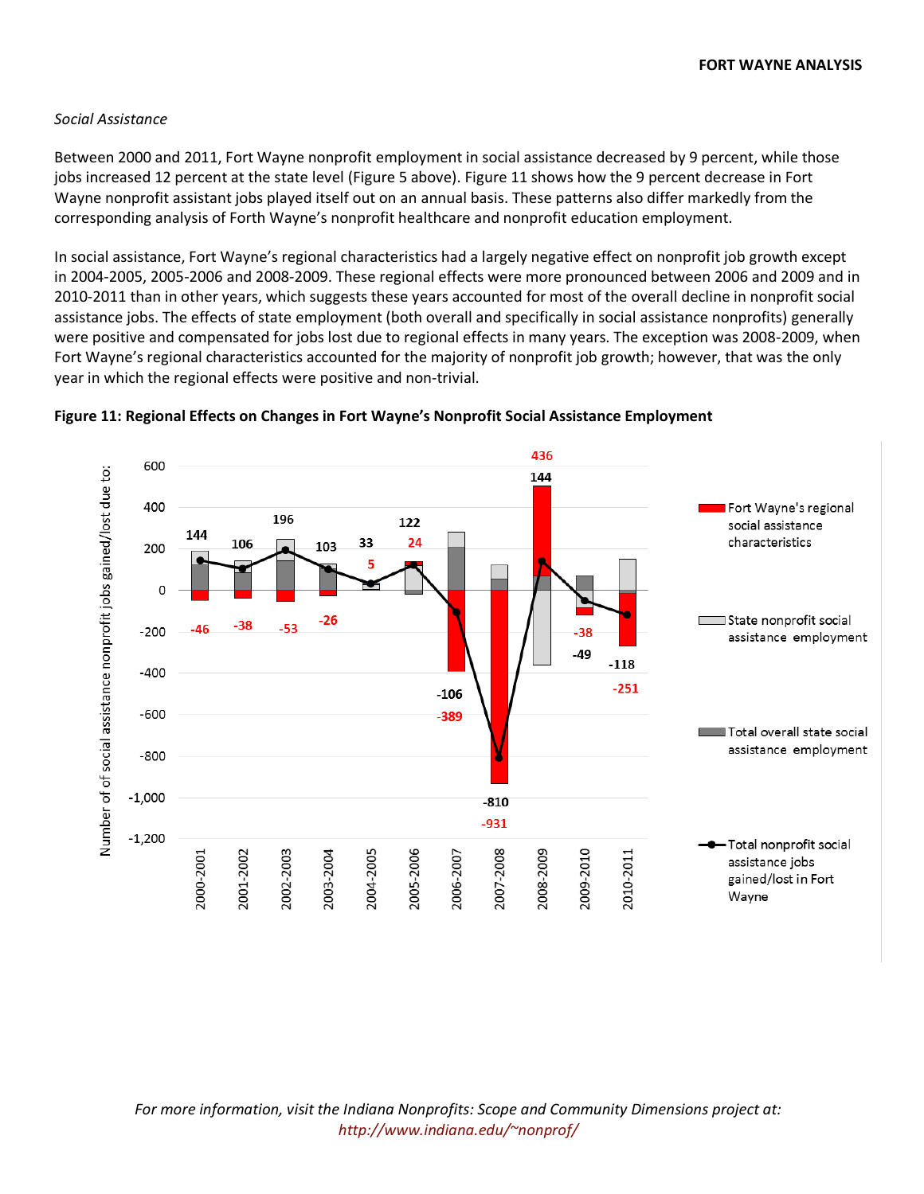#### *Social Assistance*

Between 2000 and 2011, Fort Wayne nonprofit employment in social assistance decreased by 9 percent, while those jobs increased 12 percent at the state level (Figure 5 above). Figure 11 shows how the 9 percent decrease in Fort Wayne nonprofit assistant jobs played itself out on an annual basis. These patterns also differ markedly from the corresponding analysis of Forth Wayne's nonprofit healthcare and nonprofit education employment.

In social assistance, Fort Wayne's regional characteristics had a largely negative effect on nonprofit job growth except in 2004-2005, 2005-2006 and 2008-2009. These regional effects were more pronounced between 2006 and 2009 and in 2010-2011 than in other years, which suggests these years accounted for most of the overall decline in nonprofit social assistance jobs. The effects of state employment (both overall and specifically in social assistance nonprofits) generally were positive and compensated for jobs lost due to regional effects in many years. The exception was 2008-2009, when Fort Wayne's regional characteristics accounted for the majority of nonprofit job growth; however, that was the only year in which the regional effects were positive and non-trivial.



#### **Figure 11: Regional Effects on Changes in Fort Wayne's Nonprofit Social Assistance Employment**